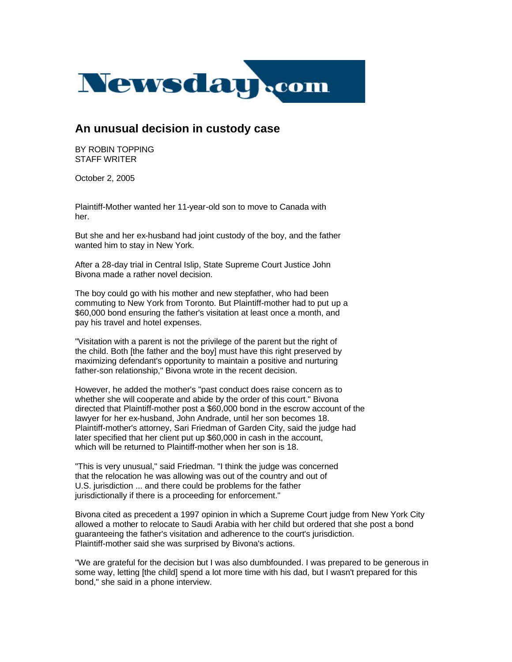

## **An unusual decision in custody case**

BY ROBIN TOPPING STAFF WRITER

October 2, 2005

Plaintiff-Mother wanted her 11-year-old son to move to Canada with her.

But she and her ex-husband had joint custody of the boy, and the father wanted him to stay in New York.

After a 28-day trial in Central Islip, State Supreme Court Justice John Bivona made a rather novel decision.

The boy could go with his mother and new stepfather, who had been commuting to New York from Toronto. But Plaintiff-mother had to put up a \$60,000 bond ensuring the father's visitation at least once a month, and pay his travel and hotel expenses.

"Visitation with a parent is not the privilege of the parent but the right of the child. Both [the father and the boy] must have this right preserved by maximizing defendant's opportunity to maintain a positive and nurturing father-son relationship," Bivona wrote in the recent decision.

However, he added the mother's "past conduct does raise concern as to whether she will cooperate and abide by the order of this court." Bivona directed that Plaintiff-mother post a \$60,000 bond in the escrow account of the lawyer for her ex-husband, John Andrade, until her son becomes 18. Plaintiff-mother's attorney, Sari Friedman of Garden City, said the judge had later specified that her client put up \$60,000 in cash in the account, which will be returned to Plaintiff-mother when her son is 18.

"This is very unusual," said Friedman. "I think the judge was concerned that the relocation he was allowing was out of the country and out of U.S. jurisdiction ... and there could be problems for the father jurisdictionally if there is a proceeding for enforcement."

Bivona cited as precedent a 1997 opinion in which a Supreme Court judge from New York City allowed a mother to relocate to Saudi Arabia with her child but ordered that she post a bond guaranteeing the father's visitation and adherence to the court's jurisdiction. Plaintiff-mother said she was surprised by Bivona's actions.

"We are grateful for the decision but I was also dumbfounded. I was prepared to be generous in some way, letting [the child] spend a lot more time with his dad, but I wasn't prepared for this bond," she said in a phone interview.